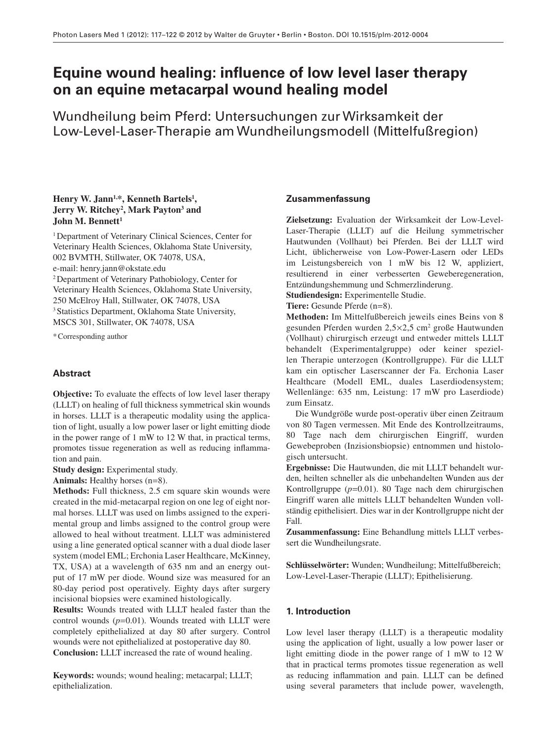# **Equine wound healing: influence of low level laser therapy on an equine metacarpal wound healing model**

Wundheilung beim Pferd: Untersuchungen zur Wirksamkeit der Low-Level-Laser-Therapie am Wundheilungsmodell (Mittelfuß region)

# Henry W. Jann<sup>1,\*</sup>, Kenneth Bartels<sup>1</sup>, Jerry W. Ritchey<sup>2</sup>, Mark Payton<sup>3</sup> and **John M. Bennett<sup>1</sup>**

<sup>1</sup> Department of Veterinary Clinical Sciences, Center for Veterinary Health Sciences, Oklahoma State University, 002 BVMTH, Stillwater, OK 74078, USA, e-mail: henry.jann@okstate.edu <sup>2</sup> Department of Veterinary Pathobiology, Center for Veterinary Health Sciences, Oklahoma State University, 250 McElroy Hall, Stillwater, OK 74078, USA

<sup>3</sup> Statistics Department, Oklahoma State University, MSCS 301, Stillwater, OK 74078, USA

\* Corresponding author

# **Abstract**

**Objective:** To evaluate the effects of low level laser therapy (LLLT) on healing of full thickness symmetrical skin wounds in horses. LLLT is a therapeutic modality using the application of light, usually a low power laser or light emitting diode in the power range of 1 mW to 12 W that, in practical terms, promotes tissue regeneration as well as reducing inflammation and pain.

**Study design:** Experimental study.

Animals: Healthy horses (n=8).

**Methods:** Full thickness, 2.5 cm square skin wounds were created in the mid-metacarpal region on one leg of eight normal horses. LLLT was used on limbs assigned to the experimental group and limbs assigned to the control group were allowed to heal without treatment. LLLT was administered using a line generated optical scanner with a dual diode laser system (model EML; Erchonia Laser Healthcare, McKinney, TX, USA) at a wavelength of 635 nm and an energy output of 17 mW per diode. Wound size was measured for an 80-day period post operatively. Eighty days after surgery incisional biopsies were examined histologically.

**Results:** Wounds treated with LLLT healed faster than the control wounds  $(p=0.01)$ . Wounds treated with LLLT were completely epithelialized at day 80 after surgery. Control wounds were not epithelialized at postoperative day 80. **Conclusion:** LLLT increased the rate of wound healing.

**Keywords:** wounds; wound healing; metacarpal; LLLT; epithelialization.

## **Zusammenfassung**

**Zielsetzung:** Evaluation der Wirksamkeit der Low-Level-Laser-Therapie (LLLT) auf die Heilung symmetrischer Hautwunden (Vollhaut) bei Pferden. Bei der LLLT wird Licht, üblicherweise von Low-Power-Lasern oder LEDs im Leistungsbereich von 1 mW bis 12 W, appliziert, resultierend in einer verbesserten Geweberegeneration, Entzündungshemmung und Schmerzlinderung.

**Studiendesign:** Experimentelle Studie.

**Tiere:** Gesunde Pferde (n=8).

Methoden: Im Mittelfußbereich jeweils eines Beins von 8 gesunden Pferden wurden  $2,5 \times 2,5$  cm<sup>2</sup> große Hautwunden (Vollhaut) chirurgisch erzeugt und entweder mittels LLLT behandelt (Experimentalgruppe) oder keiner speziellen Therapie unterzogen (Kontrollgruppe). Für die LLLT kam ein optischer Laserscanner der Fa. Erchonia Laser Healthcare (Modell EML, duales Laserdiodensystem; Wellenlänge: 635 nm, Leistung: 17 mW pro Laserdiode) zum Einsatz.

Die Wundgröße wurde post-operativ über einen Zeitraum von 80 Tagen vermessen. Mit Ende des Kontrollzeitraums, 80 Tage nach dem chirurgischen Eingriff, wurden Gewebeproben (Inzisionsbiopsie) entnommen und histologisch untersucht.

**Ergebnisse:** Die Hautwunden, die mit LLLT behandelt wurden, heilten schneller als die unbehandelten Wunden aus der Kontrollgruppe  $(p=0.01)$ . 80 Tage nach dem chirurgischen Eingriff waren alle mittels LLLT behandelten Wunden vollständig epithelisiert. Dies war in der Kontrollgruppe nicht der Fall.

**Zusammenfassung:** Eine Behandlung mittels LLLT verbessert die Wundheilungsrate.

Schlüsselwörter: Wunden; Wundheilung; Mittelfußbereich; Low-Level-Laser-Therapie (LLLT); Epithelisierung.

# **1. Introduction**

 Low level laser therapy (LLLT) is a therapeutic modality using the application of light, usually a low power laser or light emitting diode in the power range of  $1 \text{ mW}$  to 12 W that in practical terms promotes tissue regeneration as well as reducing inflammation and pain. LLLT can be defined using several parameters that include power, wavelength,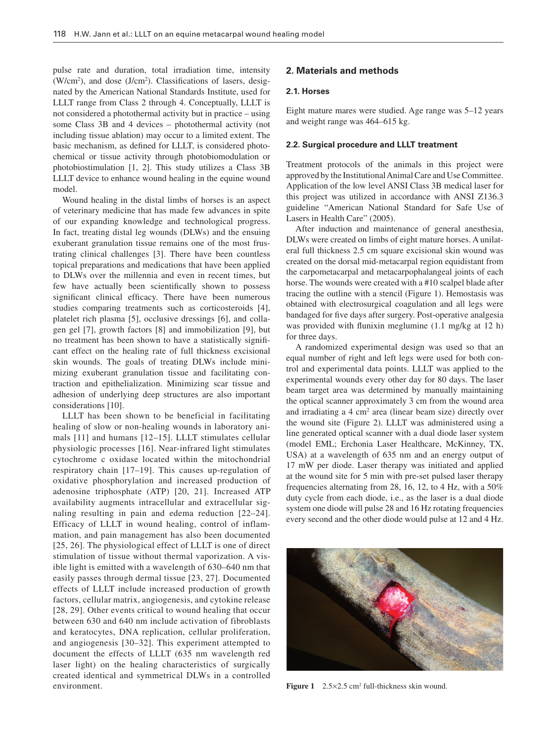pulse rate and duration, total irradiation time, intensity  $(W/cm<sup>2</sup>)$ , and dose (J/cm<sup>2</sup>). Classifications of lasers, designated by the American National Standards Institute, used for LLLT range from Class 2 through 4. Conceptually, LLLT is not considered a photothermal activity but in practice – using some Class 3B and 4 devices – photothermal activity (not including tissue ablation) may occur to a limited extent. The basic mechanism, as defined for LLLT, is considered photochemical or tissue activity through photobiomodulation or photobiostimulation  $[1, 2]$ . This study utilizes a Class 3B LLLT device to enhance wound healing in the equine wound model.

 Wound healing in the distal limbs of horses is an aspect of veterinary medicine that has made few advances in spite of our expanding knowledge and technological progress. In fact, treating distal leg wounds (DLWs) and the ensuing exuberant granulation tissue remains one of the most frustrating clinical challenges [3]. There have been countless topical preparations and medications that have been applied to DLWs over the millennia and even in recent times, but few have actually been scientifically shown to possess significant clinical efficacy. There have been numerous studies comparing treatments such as corticosteroids [4], platelet rich plasma [5], occlusive dressings [6], and collagen gel [7], growth factors [8] and immobilization [9], but no treatment has been shown to have a statistically significant effect on the healing rate of full thickness excisional skin wounds. The goals of treating DLWs include minimizing exuberant granulation tissue and facilitating contraction and epithelialization. Minimizing scar tissue and adhesion of underlying deep structures are also important considerations [10].

 LLLT has been shown to be beneficial in facilitating healing of slow or non-healing wounds in laboratory animals  $[11]$  and humans  $[12-15]$ . LLLT stimulates cellular physiologic processes [16] . Near-infrared light stimulates cytochrome c oxidase located within the mitochondrial respiratory chain [17-19]. This causes up-regulation of oxidative phosphorylation and increased production of adenosine triphosphate (ATP) [20, 21]. Increased ATP availability augments intracellular and extracellular signaling resulting in pain and edema reduction [22–24]. Efficacy of LLLT in wound healing, control of inflammation, and pain management has also been documented [25, 26]. The physiological effect of LLLT is one of direct stimulation of tissue without thermal vaporization. A visible light is emitted with a wavelength of 630-640 nm that easily passes through dermal tissue [23, 27]. Documented effects of LLLT include increased production of growth factors, cellular matrix, angiogenesis, and cytokine release [28, 29]. Other events critical to wound healing that occur between 630 and 640 nm include activation of fibroblasts and keratocytes, DNA replication, cellular proliferation, and angiogenesis [30–32]. This experiment attempted to document the effects of LLLT (635 nm wavelength red laser light) on the healing characteristics of surgically created identical and symmetrical DLWs in a controlled environment. **Figure 1** 2.5×2.5 cm<sup>2</sup> full-thickness skin wound.

# **2. Materials and methods**

#### **2.1. Horses**

Eight mature mares were studied. Age range was  $5-12$  years and weight range was 464–615 kg.

#### **2.2. Surgical procedure and LLLT treatment**

 Treatment protocols of the animals in this project were approved by the Institutional Animal Care and Use Committee. Application of the low level ANSI Class 3B medical laser for this project was utilized in accordance with ANSI Z136.3 guideline " American National Standard for Safe Use of Lasers in Health Care" (2005).

 After induction and maintenance of general anesthesia, DLWs were created on limbs of eight mature horses. A unilateral full thickness 2.5 cm square excisional skin wound was created on the dorsal mid-metacarpal region equidistant from the carpometacarpal and metacarpophalangeal joints of each horse. The wounds were created with a #10 scalpel blade after tracing the outline with a stencil (Figure 1). Hemostasis was obtained with electrosurgical coagulation and all legs were bandaged for five days after surgery. Post-operative analgesia was provided with flunixin meglumine  $(1.1 \text{ mg/kg at } 12 \text{ h})$ for three days.

 A randomized experimental design was used so that an equal number of right and left legs were used for both control and experimental data points. LLLT was applied to the experimental wounds every other day for 80 days. The laser beam target area was determined by manually maintaining the optical scanner approximately 3 cm from the wound area and irradiating a  $4 \text{ cm}^2$  area (linear beam size) directly over the wound site (Figure 2). LLLT was administered using a line generated optical scanner with a dual diode laser system (model EML; Erchonia Laser Healthcare, McKinney, TX, USA) at a wavelength of 635 nm and an energy output of 17 mW per diode. Laser therapy was initiated and applied at the wound site for 5 min with pre-set pulsed laser therapy frequencies alternating from 28, 16, 12, to 4 Hz, with a  $50\%$ duty cycle from each diode, i.e., as the laser is a dual diode system one diode will pulse 28 and 16 Hz rotating frequencies every second and the other diode would pulse at 12 and 4 Hz.

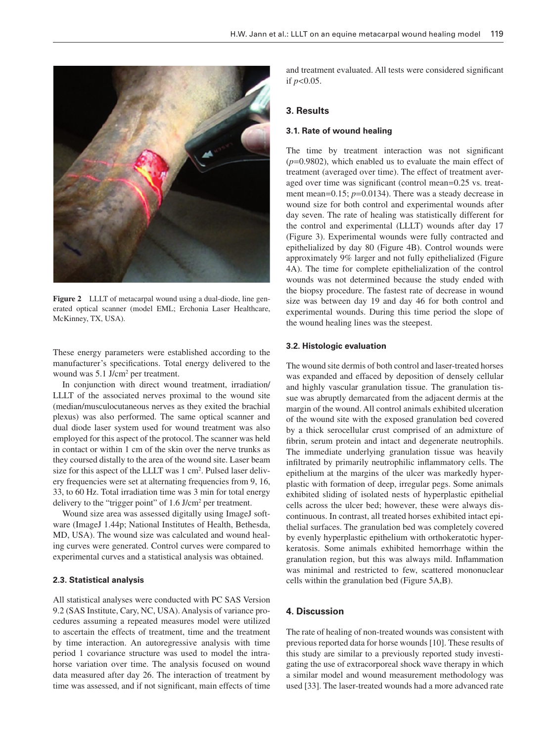

**Figure 2** LLLT of metacarpal wound using a dual-diode, line generated optical scanner (model EML; Erchonia Laser Healthcare, McKinney, TX, USA).

These energy parameters were established according to the manufacturer's specifications. Total energy delivered to the wound was 5.1 J/cm<sup>2</sup> per treatment.

 In conjunction with direct wound treatment, irradiation/ LLLT of the associated nerves proximal to the wound site (median/musculocutaneous nerves as they exited the brachial plexus) was also performed. The same optical scanner and dual diode laser system used for wound treatment was also employed for this aspect of the protocol. The scanner was held in contact or within 1 cm of the skin over the nerve trunks as they coursed distally to the area of the wound site. Laser beam size for this aspect of the LLLT was 1 cm<sup>2</sup>. Pulsed laser delivery frequencies were set at alternating frequencies from 9, 16, 33, to 60 Hz. Total irradiation time was 3 min for total energy delivery to the "trigger point" of  $1.6$  J/cm<sup>2</sup> per treatment.

 Wound size area was assessed digitally using ImageJ software (ImageJ 1.44p; National Institutes of Health, Bethesda, MD, USA). The wound size was calculated and wound healing curves were generated. Control curves were compared to experimental curves and a statistical analysis was obtained.

### **2.3. Statistical analysis**

 All statistical analyses were conducted with PC SAS Version 9.2 (SAS Institute, Cary, NC, USA). Analysis of variance procedures assuming a repeated measures model were utilized to ascertain the effects of treatment, time and the treatment by time interaction. An autoregressive analysis with time period 1 covariance structure was used to model the intrahorse variation over time. The analysis focused on wound data measured after day 26. The interaction of treatment by time was assessed, and if not significant, main effects of time

and treatment evaluated. All tests were considered significant if  $p < 0.05$ .

### **3. Results**

#### **3.1. Rate of wound healing**

The time by treatment interaction was not significant  $(p=0.9802)$ , which enabled us to evaluate the main effect of treatment (averaged over time). The effect of treatment averaged over time was significant (control mean=0.25 vs. treatment mean= $0.15$ ;  $p=0.0134$ ). There was a steady decrease in wound size for both control and experimental wounds after day seven. The rate of healing was statistically different for the control and experimental (LLLT) wounds after day 17 (Figure 3). Experimental wounds were fully contracted and epithelialized by day 80 (Figure 4B). Control wounds were approximately 9% larger and not fully epithelialized (Figure 4A). The time for complete epithelialization of the control wounds was not determined because the study ended with the biopsy procedure. The fastest rate of decrease in wound size was between day 19 and day 46 for both control and experimental wounds. During this time period the slope of the wound healing lines was the steepest.

#### **3.2. Histologic evaluation**

 The wound site dermis of both control and laser-treated horses was expanded and effaced by deposition of densely cellular and highly vascular granulation tissue. The granulation tissue was abruptly demarcated from the adjacent dermis at the margin of the wound. All control animals exhibited ulceration of the wound site with the exposed granulation bed covered by a thick serocellular crust comprised of an admixture of fibrin, serum protein and intact and degenerate neutrophils. The immediate underlying granulation tissue was heavily infiltrated by primarily neutrophilic inflammatory cells. The epithelium at the margins of the ulcer was markedly hyperplastic with formation of deep, irregular pegs. Some animals exhibited sliding of isolated nests of hyperplastic epithelial cells across the ulcer bed; however, these were always discontinuous. In contrast, all treated horses exhibited intact epithelial surfaces. The granulation bed was completely covered by evenly hyperplastic epithelium with orthokeratotic hyperkeratosis. Some animals exhibited hemorrhage within the granulation region, but this was always mild. Inflammation was minimal and restricted to few, scattered mononuclear cells within the granulation bed (Figure 5A,B).

#### **4. Discussion**

 The rate of healing of non-treated wounds was consistent with previous reported data for horse wounds [10] . These results of this study are similar to a previously reported study investigating the use of extracorporeal shock wave therapy in which a similar model and wound measurement methodology was used [33]. The laser-treated wounds had a more advanced rate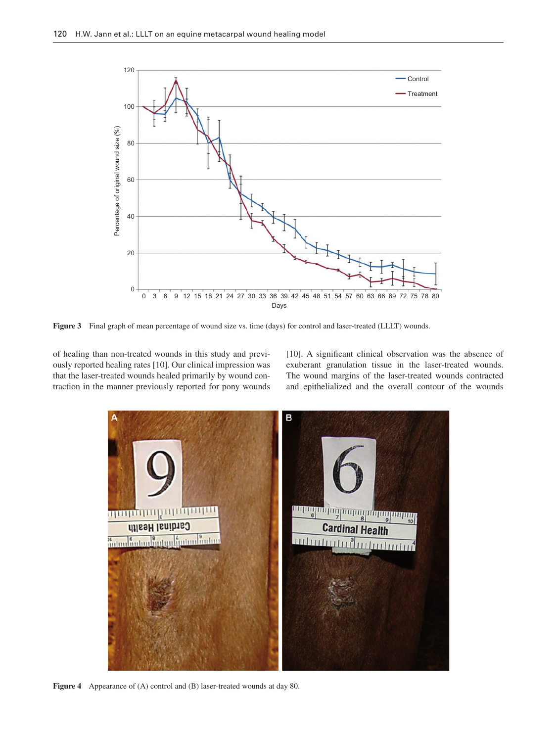

**Figure 3** Final graph of mean percentage of wound size vs. time (days) for control and laser-treated (LLLT) wounds.

of healing than non-treated wounds in this study and previously reported healing rates [10] . Our clinical impression was that the laser-treated wounds healed primarily by wound contraction in the manner previously reported for pony wounds [10]. A significant clinical observation was the absence of exuberant granulation tissue in the laser-treated wounds. The wound margins of the laser-treated wounds contracted and epithelialized and the overall contour of the wounds



Figure 4 Appearance of (A) control and (B) laser-treated wounds at day 80.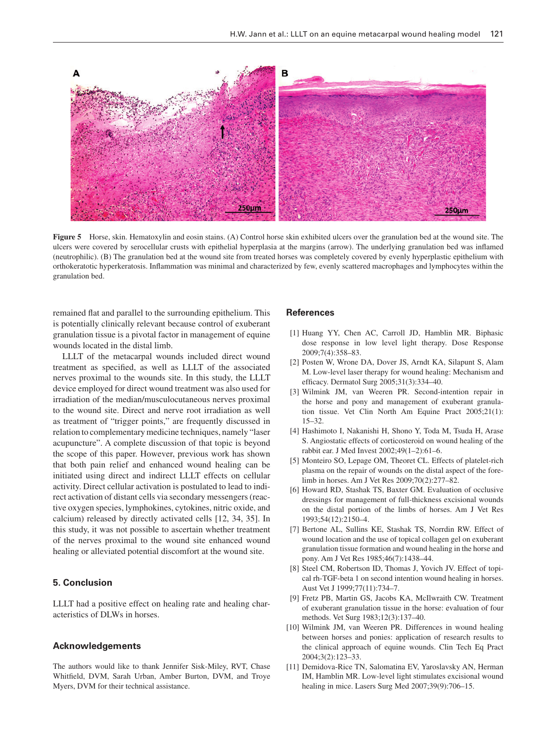

**Figure 5** Horse, skin. Hematoxylin and eosin stains. (A) Control horse skin exhibited ulcers over the granulation bed at the wound site. The ulcers were covered by serocellular crusts with epithelial hyperplasia at the margins (arrow). The underlying granulation bed was inflamed (neutrophilic). (B) The granulation bed at the wound site from treated horses was completely covered by evenly hyperplastic epithelium with orthokeratotic hyperkeratosis. Inflammation was minimal and characterized by few, evenly scattered macrophages and lymphocytes within the granulation bed.

remained flat and parallel to the surrounding epithelium. This is potentially clinically relevant because control of exuberant granulation tissue is a pivotal factor in management of equine wounds located in the distal limb.

 LLLT of the metacarpal wounds included direct wound treatment as specified, as well as LLLT of the associated nerves proximal to the wounds site. In this study, the LLLT device employed for direct wound treatment was also used for irradiation of the median/musculocutaneous nerves proximal to the wound site. Direct and nerve root irradiation as well as treatment of "trigger points," are frequently discussed in relation to complementary medicine techniques, namely "laser acupuncture". A complete discussion of that topic is beyond the scope of this paper. However, previous work has shown that both pain relief and enhanced wound healing can be initiated using direct and indirect LLLT effects on cellular activity. Direct cellular activation is postulated to lead to indirect activation of distant cells via secondary messengers (reactive oxygen species, lymphokines, cytokines, nitric oxide, and calcium) released by directly activated cells [12, 34, 35]. In this study, it was not possible to ascertain whether treatment of the nerves proximal to the wound site enhanced wound healing or alleviated potential discomfort at the wound site.

#### **5. Conclusion**

 LLLT had a positive effect on healing rate and healing characteristics of DLWs in horses.

#### **Acknowledgements**

 The authors would like to thank Jennifer Sisk-Miley, RVT, Chase Whitfield, DVM, Sarah Urban, Amber Burton, DVM, and Troye Myers, DVM for their technical assistance.

#### **References**

- [1] Huang YY, Chen AC, Carroll JD, Hamblin MR. Biphasic dose response in low level light therapy. Dose Response 2009;7(4):358 – 83.
- [2] Posten W, Wrone DA, Dover JS, Arndt KA, Silapunt S, Alam M. Low-level laser therapy for wound healing: Mechanism and efficacy. Dermatol Surg 2005;31(3):334-40.
- [3] Wilmink JM, van Weeren PR. Second-intention repair in the horse and pony and management of exuberant granulation tissue. Vet Clin North Am Equine Pract 2005;21(1):  $15 - 32.$
- [4] Hashimoto I, Nakanishi H, Shono Y, Toda M, Tsuda H, Arase S. Angiostatic effects of corticosteroid on wound healing of the rabbit ear. J Med Invest 2002;49(1-2):61-6.
- [5] Monteiro SO, Lepage OM, Theoret CL. Effects of platelet-rich plasma on the repair of wounds on the distal aspect of the forelimb in horses. Am J Vet Res 2009;70(2):277 – 82.
- [6] Howard RD, Stashak TS, Baxter GM. Evaluation of occlusive dressings for management of full-thickness excisional wounds on the distal portion of the limbs of horses. Am J Vet Res 1993;54(12):2150-4.
- [7] Bertone AL, Sullins KE, Stashak TS, Norrdin RW. Effect of wound location and the use of topical collagen gel on exuberant granulation tissue formation and wound healing in the horse and pony. Am J Vet Res 1985;46(7):1438-44.
- [8] Steel CM, Robertson ID, Thomas J, Yovich JV. Effect of topical rh-TGF-beta 1 on second intention wound healing in horses. Aust Vet J 1999;77(11):734-7.
- [9] Fretz PB, Martin GS, Jacobs KA, McIlwraith CW. Treatment of exuberant granulation tissue in the horse: evaluation of four methods. Vet Surg 1983;12(3):137-40.
- [10] Wilmink JM, van Weeren PR. Differences in wound healing between horses and ponies: application of research results to the clinical approach of equine wounds. Clin Tech Eq Pract 2004;3(2):123 – 33.
- [11] Demidova-Rice TN, Salomatina EV, Yaroslavsky AN, Herman IM, Hamblin MR. Low-level light stimulates excisional wound healing in mice. Lasers Surg Med 2007;39(9):706-15.